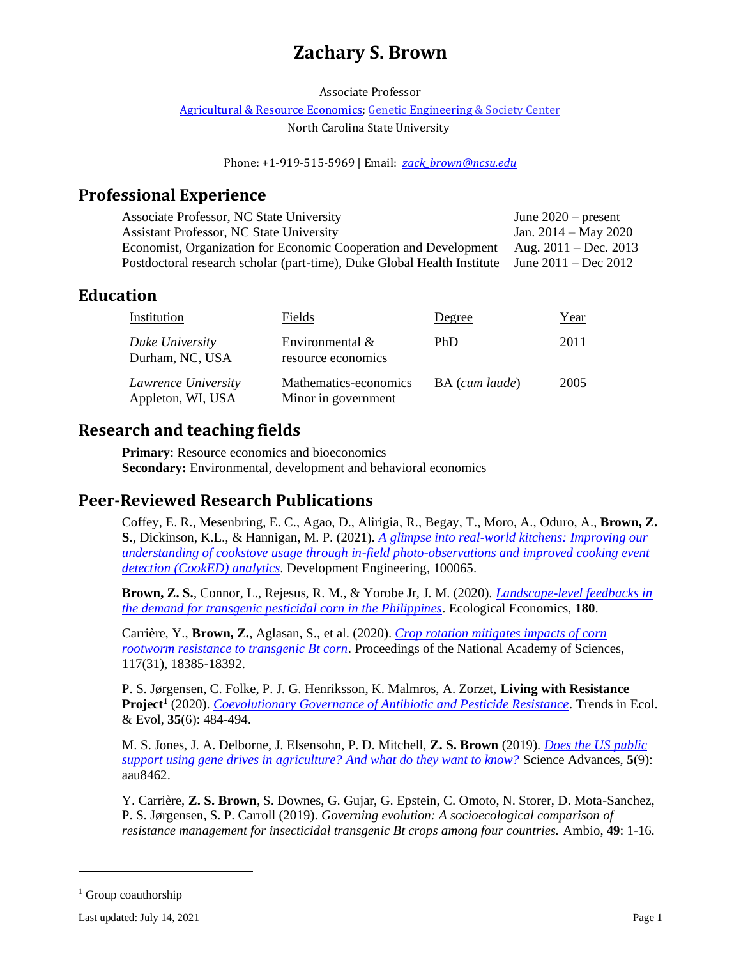# **Zachary S. Brown**

Associate Professor

Agricultural & [Resource Economics;](https://cals.ncsu.edu/agricultural-and-resource-economics) Geneti[c Engineering](https://research.ncsu.edu/ges/) & Society Center

North Carolina State University

Phone: +1-919-515-5969 | Email: *[zack\\_brown@ncsu.edu](mailto:zack_brown@ncsu.edu)*

## **Professional Experience**

| Associate Professor, NC State University                                | June $2020$ – present   |
|-------------------------------------------------------------------------|-------------------------|
| <b>Assistant Professor, NC State University</b>                         | Jan. $2014 - May 2020$  |
| Economist, Organization for Economic Cooperation and Development        | Aug. $2011 - Dec. 2013$ |
| Postdoctoral research scholar (part-time), Duke Global Health Institute | June $2011 - Dec 2012$  |

## **Education**

| Institution                              | Fields                                       | Degree         | Year |
|------------------------------------------|----------------------------------------------|----------------|------|
| Duke University<br>Durham, NC, USA       | Environmental $\&$<br>resource economics     | PhD            | 2011 |
| Lawrence University<br>Appleton, WI, USA | Mathematics-economics<br>Minor in government | BA (cum laude) | 2005 |

## **Research and teaching fields**

**Primary:** Resource economics and bioeconomics **Secondary:** Environmental, development and behavioral economics

## **Peer-Reviewed Research Publications**

Coffey, E. R., Mesenbring, E. C., Agao, D., Alirigia, R., Begay, T., Moro, A., Oduro, A., **Brown, Z. S.**, Dickinson, K.L., & Hannigan, M. P. (2021). *[A glimpse into real-world kitchens: Improving our](https://doi.org/10.1016/j.deveng.2021.100065)  [understanding of cookstove usage through in-field photo-observations and improved cooking event](https://doi.org/10.1016/j.deveng.2021.100065)  [detection \(CookED\) analytics](https://doi.org/10.1016/j.deveng.2021.100065)*. Development Engineering, 100065.

**Brown, Z. S.**, Connor, L., Rejesus, R. M., & Yorobe Jr, J. M. (2020). *[Landscape-level feedbacks in](https://doi.org/10.1016/j.ecolecon.2020.106883)  [the demand for transgenic pesticidal corn in the Philippines](https://doi.org/10.1016/j.ecolecon.2020.106883)*. Ecological Economics, **180**.

Carrière, Y., **Brown, Z.**, Aglasan, S., et al. (2020). *[Crop rotation mitigates impacts of corn](https://doi.org/10.1073/pnas.2003604117)  [rootworm resistance to transgenic Bt corn](https://doi.org/10.1073/pnas.2003604117)*. Proceedings of the National Academy of Sciences, 117(31), 18385-18392.

P. S. Jørgensen, C. Folke, P. J. G. Henriksson, K. Malmros, A. Zorzet, **Living with Resistance Project<sup>1</sup>** (2020). *[Coevolutionary Governance of Antibiotic and Pesticide Resistance](https://doi.org/10.1016/j.tree.2020.01.011)*. Trends in Ecol. & Evol, **35**(6): 484-494.

M. S. Jones, J. A. Delborne, J. Elsensohn, P. D. Mitchell, **Z. S. Brown** (2019). *[Does the US public](https://advances.sciencemag.org/content/5/9/eaau8462)  [support using gene drives in agriculture? And what do they want to know?](https://advances.sciencemag.org/content/5/9/eaau8462)* Science Advances, **5**(9): aau8462.

Y. Carrière, **Z. S. Brown**, S. Downes, G. Gujar, G. Epstein, C. Omoto, N. Storer, D. Mota-Sanchez, P. S. Jørgensen, S. P. Carroll (2019). *Governing evolution: A socioecological comparison of resistance management for insecticidal transgenic Bt crops among four countries.* Ambio, **49**: 1-16*.*

<sup>&</sup>lt;sup>1</sup> Group coauthorship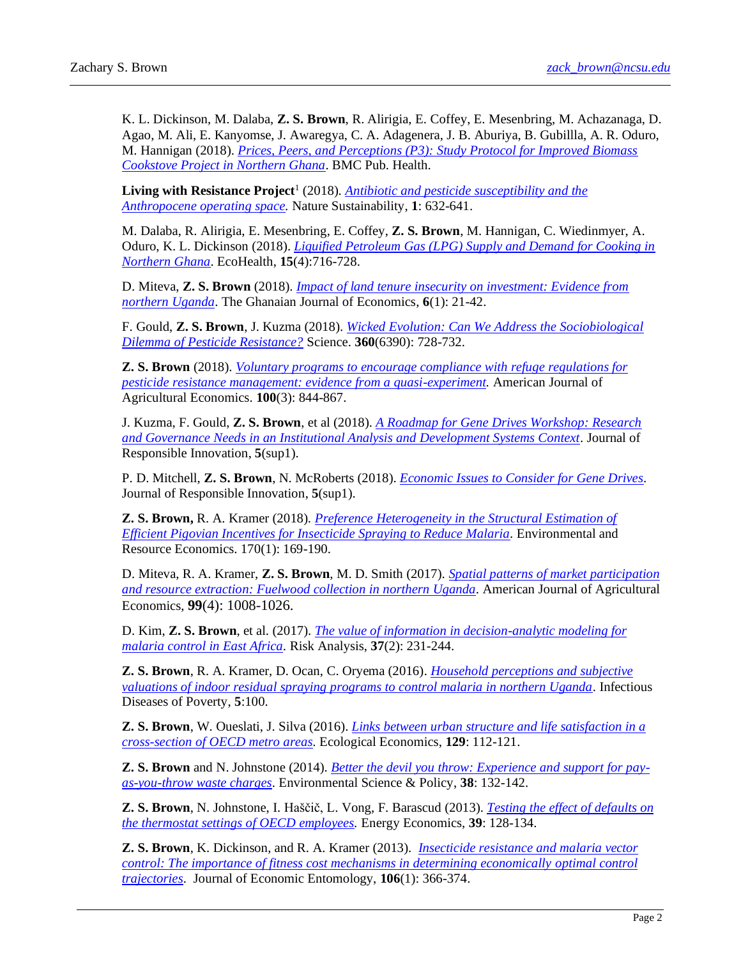K. L. Dickinson, M. Dalaba, **Z. S. Brown**, R. Alirigia, E. Coffey, E. Mesenbring, M. Achazanaga, D. Agao, M. Ali, E. Kanyomse, J. Awaregya, C. A. Adagenera, J. B. Aburiya, B. Gubillla, A. R. Oduro, M. Hannigan (2018). *[Prices, Peers, and Perceptions \(P3\): Study Protocol for Improved Biomass](https://bmcpublichealth.biomedcentral.com/articles/10.1186/s12889-018-6116-z)  [Cookstove Project in Northern Ghana](https://bmcpublichealth.biomedcentral.com/articles/10.1186/s12889-018-6116-z)*. BMC Pub. Health.

Living with Resistance Project<sup>1</sup> (2018). *Antibiotic and pesticide susceptibility and the [Anthropocene operating space.](https://www.nature.com/articles/s41893-018-0164-3)* Nature Sustainability, **1**: 632-641.

M. Dalaba, R. Alirigia, E. Mesenbring, E. Coffey, **Z. S. Brown**, M. Hannigan, C. Wiedinmyer, A. Oduro, K. L. Dickinson (2018). *[Liquified Petroleum Gas \(LPG\) Supply and Demand for Cooking in](https://link.springer.com/article/10.1007%2Fs10393-018-1351-4)  [Northern Ghana](https://link.springer.com/article/10.1007%2Fs10393-018-1351-4)*. EcoHealth, **15**(4):716-728.

D. Miteva, **Z. S. Brown** (2018). *[Impact of land tenure insecurity on investment: Evidence from](https://journals.co.za/content/journal/10520/EJC-141f6afa8a)  [northern Uganda](https://journals.co.za/content/journal/10520/EJC-141f6afa8a)*. The Ghanaian Journal of Economics, **6**(1): 21-42.

F. Gould, **Z. S. Brown**, J. Kuzma (2018). *[Wicked Evolution: Can We Address the Sociobiological](http://science.sciencemag.org/content/360/6390/728)  [Dilemma of Pesticide Resistance?](http://science.sciencemag.org/content/360/6390/728)* Science. **360**(6390): 728-732.

**Z. S. Brown** (2018). *[Voluntary programs to encourage compliance with refuge regulations for](https://cenrep.ncsu.edu/publications/wp17-015/)  [pesticide resistance management: evidence from a quasi-experiment.](https://cenrep.ncsu.edu/publications/wp17-015/)* American Journal of Agricultural Economics. **100**(3): 844-867.

J. Kuzma, F. Gould, **Z. S. Brown**, et al (2018). *[A Roadmap for Gene Drives Workshop: Research](https://www.tandfonline.com/doi/full/10.1080/23299460.2017.1410344)  [and Governance Needs in an Institutional Analysis and Development Systems Context](https://www.tandfonline.com/doi/full/10.1080/23299460.2017.1410344)*. Journal of Responsible Innovation, **5**(sup1).

P. D. Mitchell, **Z. S. Brown**, N. McRoberts (2018). *[Economic Issues to Consider for Gene Drives.](https://www.tandfonline.com/doi/abs/10.1080/23299460.2017.1407914)*  Journal of Responsible Innovation, **5**(sup1).

**Z. S. Brown,** R. A. Kramer (2018)*. [Preference Heterogeneity in the Structural Estimation of](https://link.springer.com/article/10.1007/s10640-017-0115-x)  [Efficient Pigovian Incentives for Insecticide Spraying to Reduce Malaria.](https://link.springer.com/article/10.1007/s10640-017-0115-x)* Environmental and Resource Economics. 170(1): 169-190.

D. Miteva, R. A. Kramer, **Z. S. Brown**, M. D. Smith (2017). *[Spatial patterns of market participation](https://academic.oup.com/ajae/article-abstract/3828074/Spatial-Patternsof-Market-Participationand)  [and resource extraction: Fuelwood collection in northern Uganda.](https://academic.oup.com/ajae/article-abstract/3828074/Spatial-Patternsof-Market-Participationand)* American Journal of Agricultural Economics, **99**(4): 1008-1026.

D. Kim, **Z. S. Brown**, et al. (2017). *[The value of information in decision-analytic modeling for](http://onlinelibrary.wiley.com/doi/10.1111/risa.12606/full)  [malaria control in East Africa.](http://onlinelibrary.wiley.com/doi/10.1111/risa.12606/full)* Risk Analysis, 37(2): 231-244.

**Z. S. Brown**, R. A. Kramer, D. Ocan, C. Oryema (2016). *[Household perceptions and subjective](http://idpjournal.biomedcentral.com/articles/10.1186/s40249-016-0190-1)  [valuations of indoor residual spraying programs to control malaria in northern Uganda.](http://idpjournal.biomedcentral.com/articles/10.1186/s40249-016-0190-1)* Infectious Diseases of Poverty, **5**:100.

**Z. S. Brown**, W. Oueslati, J. Silva (2016). *[Links between urban structure and life satisfaction in a](http://www.sciencedirect.com/science/article/pii/S0921800915302251)  [cross-section of OECD metro areas.](http://www.sciencedirect.com/science/article/pii/S0921800915302251)* Ecological Economics, **129**: 112-121.

**Z. S. Brown** and N. Johnstone (2014). *[Better the devil you throw: Experience and support for pay](http://www.sciencedirect.com/science/article/pii/S146290111300275X)[as-you-throw waste charges](http://www.sciencedirect.com/science/article/pii/S146290111300275X)*. Environmental Science & Policy, **38**: 132-142.

**Z. S. Brown**, N. Johnstone, I. Haščič, L. Vong, F. Barascud (2013). *[Testing the effect of defaults on](http://www.sciencedirect.com/science/article/pii/S0140988313000753)  [the thermostat settings of OECD employees.](http://www.sciencedirect.com/science/article/pii/S0140988313000753)* Energy Economics, **39**: 128-134.

**Z. S. Brown**, K. Dickinson, and R. A. Kramer (2013). *[Insecticide resistance and malaria vector](http://jee.oxfordjournals.org/content/106/1/366.abstract)  control: The importance of fitness cost mechanisms in determining economically optimal control [trajectories](http://jee.oxfordjournals.org/content/106/1/366.abstract)*. Journal of Economic Entomology, **106**(1): 366-374.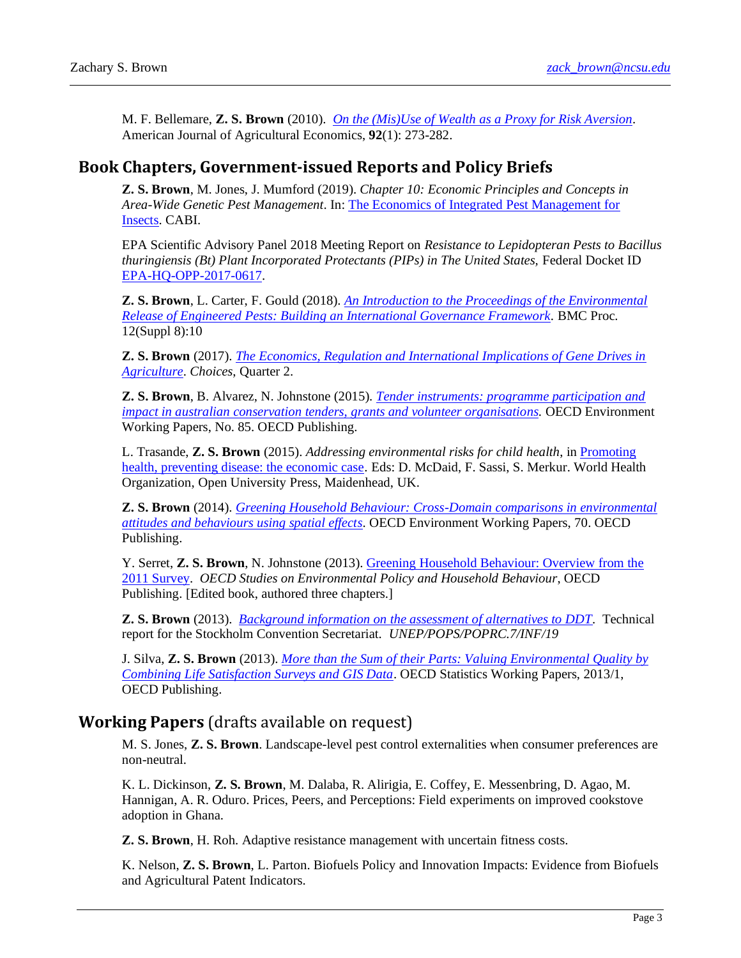M. F. Bellemare, **Z. S. Brown** (2010). *[On the \(Mis\)Use of Wealth as a Proxy for Risk Aversion](http://ajae.oxfordjournals.org/content/early/2010/01/20/ajae.aap006.short)*. American Journal of Agricultural Economics, **92**(1): 273-282.

## **Book Chapters, Government-issued Reports and Policy Briefs**

**Z. S. Brown**, M. Jones, J. Mumford (2019). *Chapter 10: Economic Principles and Concepts in Area-Wide Genetic Pest Management*. In[: The Economics of Integrated Pest Management for](https://www.cabi.org/bookshop/book/9781786393678)  [Insects.](https://www.cabi.org/bookshop/book/9781786393678) CABI.

EPA Scientific Advisory Panel 2018 Meeting Report on *Resistance to Lepidopteran Pests to Bacillus thuringiensis (Bt) Plant Incorporated Protectants (PIPs) in The United States, Federal Docket ID* [EPA-HQ-OPP-2017-0617.](https://www.regulations.gov/document?D=EPA-HQ-OPP-2017-0617-0078)

**Z. S. Brown**, L. Carter, F. Gould (2018). *[An Introduction to the Proceedings of the Environmental](https://bmcproc.biomedcentral.com/articles/10.1186/s12919-018-0105-1)  [Release of Engineered Pests: Building an International Governance Framework.](https://bmcproc.biomedcentral.com/articles/10.1186/s12919-018-0105-1)* BMC Proc. 12(Suppl 8):10

**Z. S. Brown** (2017). *[The Economics, Regulation and International Implications of Gene Drives in](http://www.choicesmagazine.org/choices-magazine/submitted-articles/economic-regulatory-and-international-implications-of-gene-drives-in-agriculture)  [Agriculture](http://www.choicesmagazine.org/choices-magazine/submitted-articles/economic-regulatory-and-international-implications-of-gene-drives-in-agriculture)*. *Choices*, Quarter 2.

**Z. S. Brown**, B. Alvarez, N. Johnstone (2015). *[Tender instruments: programme participation and](https://ideas.repec.org/p/oec/envaaa/85-en.html)  [impact in australian conservation tenders, grants and volunteer organisations.](https://ideas.repec.org/p/oec/envaaa/85-en.html)* OECD Environment Working Papers, No. 85. OECD Publishing.

L. Trasande, **Z. S. Brown** (2015). *Addressing environmental risks for child health*, in [Promoting](https://books.google.com/books?id=COrSCgAAQBAJ&lpg=PA169&ots=CAuZbBcuiL&lr&pg=PA169#v=onepage&q&f=false)  [health, preventing disease: the economic case.](https://books.google.com/books?id=COrSCgAAQBAJ&lpg=PA169&ots=CAuZbBcuiL&lr&pg=PA169#v=onepage&q&f=false) Eds: D. McDaid, F. Sassi, S. Merkur. World Health Organization, Open University Press, Maidenhead, UK.

**Z. S. Brown** (2014). *[Greening Household Behaviour: Cross-Domain comparisons in environmental](https://ideas.repec.org/p/oec/envaaa/68-en.html)  [attitudes and behaviours using spatial effects](https://ideas.repec.org/p/oec/envaaa/68-en.html)*. OECD Environment Working Papers, 70. OECD Publishing.

Y. Serret, **Z. S. Brown**, N. Johnstone (2013). [Greening Household Behaviour: Overview from the](https://ideas.repec.org/p/oec/envaaa/79-en.html)  [2011 Survey.](https://ideas.repec.org/p/oec/envaaa/79-en.html) *OECD Studies on Environmental Policy and Household Behaviour*, OECD Publishing. [Edited book, authored three chapters.]

**Z. S. Brown** (2013). *[Background information on the assessment of alternatives to DDT.](http://chm.pops.int/TheConvention/POPsReviewCommittee/Meetings/POPRC7/POPRC7Documents/tabid/2267/ctl/Download/mid/7443/Default.aspx?id=23&ObjID=12892)* Technical report for the Stockholm Convention Secretariat. *UNEP/POPS/POPRC.7/INF/19*

J. Silva, **Z. S. Brown** (2013). *[More than the Sum of their Parts: Valuing Environmental Quality by](http://www.oecd-ilibrary.org/economics/more-than-the-sum-of-their-parts-valuing-environmental-quality-by-combining-life-satisfaction-surveys-and-gis-data_5k4840hfpwkb-en)  [Combining Life Satisfaction Surveys and GIS Data](http://www.oecd-ilibrary.org/economics/more-than-the-sum-of-their-parts-valuing-environmental-quality-by-combining-life-satisfaction-surveys-and-gis-data_5k4840hfpwkb-en)*. OECD Statistics Working Papers, 2013/1, OECD Publishing.

### **Working Papers** (drafts available on request)

M. S. Jones, **Z. S. Brown**. Landscape-level pest control externalities when consumer preferences are non-neutral.

K. L. Dickinson, **Z. S. Brown**, M. Dalaba, R. Alirigia, E. Coffey, E. Messenbring, D. Agao, M. Hannigan, A. R. Oduro. Prices, Peers, and Perceptions: Field experiments on improved cookstove adoption in Ghana.

**Z. S. Brown**, H. Roh. Adaptive resistance management with uncertain fitness costs.

K. Nelson, **Z. S. Brown**, L. Parton. Biofuels Policy and Innovation Impacts: Evidence from Biofuels and Agricultural Patent Indicators.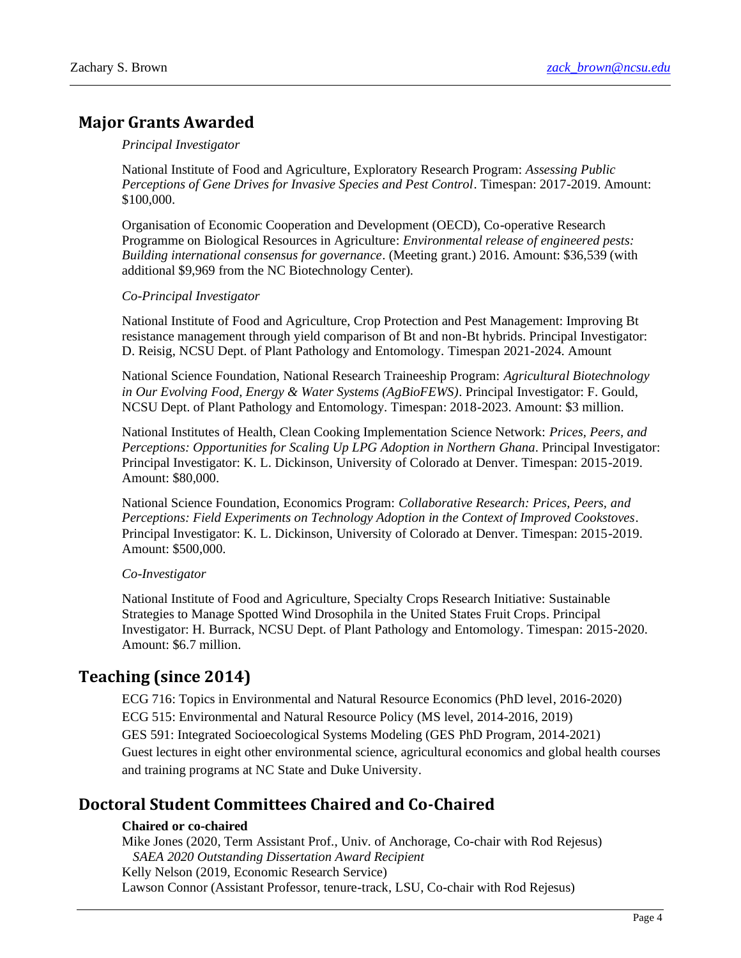## **Major Grants Awarded**

#### *Principal Investigator*

National Institute of Food and Agriculture, Exploratory Research Program: *Assessing Public Perceptions of Gene Drives for Invasive Species and Pest Control*. Timespan: 2017-2019. Amount: \$100,000.

Organisation of Economic Cooperation and Development (OECD), Co-operative Research Programme on Biological Resources in Agriculture: *Environmental release of engineered pests: Building international consensus for governance*. (Meeting grant.) 2016. Amount: \$36,539 (with additional \$9,969 from the NC Biotechnology Center).

#### *Co-Principal Investigator*

National Institute of Food and Agriculture, Crop Protection and Pest Management: Improving Bt resistance management through yield comparison of Bt and non-Bt hybrids. Principal Investigator: D. Reisig, NCSU Dept. of Plant Pathology and Entomology. Timespan 2021-2024. Amount

National Science Foundation, National Research Traineeship Program: *Agricultural Biotechnology in Our Evolving Food, Energy & Water Systems (AgBioFEWS)*. Principal Investigator: F. Gould, NCSU Dept. of Plant Pathology and Entomology. Timespan: 2018-2023. Amount: \$3 million.

National Institutes of Health, Clean Cooking Implementation Science Network: *Prices, Peers, and Perceptions: Opportunities for Scaling Up LPG Adoption in Northern Ghana*. Principal Investigator: Principal Investigator: K. L. Dickinson, University of Colorado at Denver. Timespan: 2015-2019. Amount: \$80,000.

National Science Foundation, Economics Program: *Collaborative Research: Prices, Peers, and Perceptions: Field Experiments on Technology Adoption in the Context of Improved Cookstoves*. Principal Investigator: K. L. Dickinson, University of Colorado at Denver. Timespan: 2015-2019. Amount: \$500,000.

#### *Co-Investigator*

National Institute of Food and Agriculture, Specialty Crops Research Initiative: Sustainable Strategies to Manage Spotted Wind Drosophila in the United States Fruit Crops. Principal Investigator: H. Burrack, NCSU Dept. of Plant Pathology and Entomology. Timespan: 2015-2020. Amount: \$6.7 million.

## **Teaching (since 2014)**

ECG 716: Topics in Environmental and Natural Resource Economics (PhD level, 2016-2020) ECG 515: Environmental and Natural Resource Policy (MS level, 2014-2016, 2019) GES 591: Integrated Socioecological Systems Modeling (GES PhD Program, 2014-2021) Guest lectures in eight other environmental science, agricultural economics and global health courses and training programs at NC State and Duke University.

## **Doctoral Student Committees Chaired and Co-Chaired**

#### **Chaired or co-chaired**

Mike Jones (2020, Term Assistant Prof., Univ. of Anchorage, Co-chair with Rod Rejesus) *SAEA 2020 Outstanding Dissertation Award Recipient* Kelly Nelson (2019, Economic Research Service) Lawson Connor (Assistant Professor, tenure-track, LSU, Co-chair with Rod Rejesus)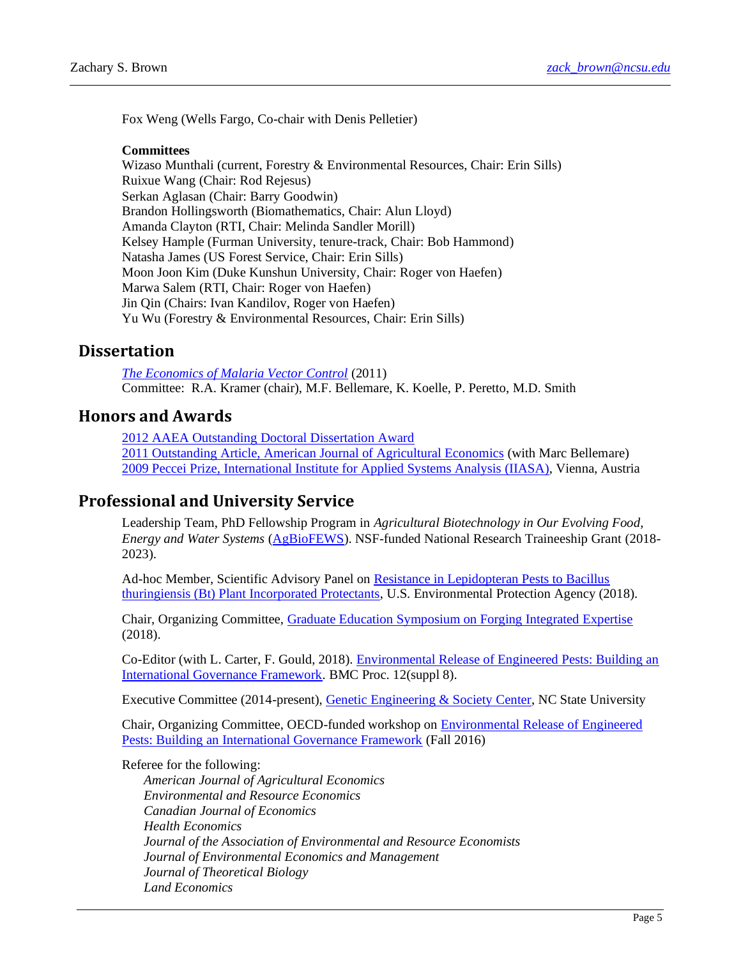Fox Weng (Wells Fargo, Co-chair with Denis Pelletier)

#### **Committees**

Wizaso Munthali (current, Forestry & Environmental Resources, Chair: Erin Sills) Ruixue Wang (Chair: Rod Rejesus) Serkan Aglasan (Chair: Barry Goodwin) Brandon Hollingsworth (Biomathematics, Chair: Alun Lloyd) Amanda Clayton (RTI, Chair: Melinda Sandler Morill) Kelsey Hample (Furman University, tenure-track, Chair: Bob Hammond) Natasha James (US Forest Service, Chair: Erin Sills) Moon Joon Kim (Duke Kunshun University, Chair: Roger von Haefen) Marwa Salem (RTI, Chair: Roger von Haefen) Jin Qin (Chairs: Ivan Kandilov, Roger von Haefen) Yu Wu (Forestry & Environmental Resources, Chair: Erin Sills)

### **Dissertation**

*[The Economics of Malaria Vector Control](http://dukespace.lib.duke.edu/dspace/handle/10161/3880)* (2011) Committee: R.A. Kramer (chair), M.F. Bellemare, K. Koelle, P. Peretto, M.D. Smith

### **Honors and Awards**

[2012 AAEA Outstanding Doctoral Dissertation Award](http://ajae.oxfordjournals.org/content/95/2/527.1) [2011 Outstanding Article, American Journal of Agricultural Economics](https://www.aaea.org/about-aaea/awards-and-honors/aaea-annual-awards/aaea-annual-award-winners/2011-aaea-annual-award-winners) (with Marc Bellemare) [2009 Peccei Prize, International Institute for Applied Systems Analysis](http://www.iiasa.ac.at/web/home/education/yssp/awards.html) (IIASA), Vienna, Austria

### **Professional and University Service**

Leadership Team, PhD Fellowship Program in *Agricultural Biotechnology in Our Evolving Food, Energy and Water Systems* [\(AgBioFEWS\)](https://research.ncsu.edu/ges/academics/agbiofews/). NSF-funded National Research Traineeship Grant (2018- 2023).

Ad-hoc Member, Scientific Advisory Panel on [Resistance in Lepidopteran Pests to Bacillus](https://www.regulations.gov/document?D=EPA-HQ-OPP-2017-0617-0032)  [thuringiensis \(Bt\) Plant Incorporated Protectants,](https://www.regulations.gov/document?D=EPA-HQ-OPP-2017-0617-0032) U.S. Environmental Protection Agency (2018).

Chair, Organizing Committee, [Graduate Education Symposium on Forging Integrated Expertise](https://research.ncsu.edu/ges/events/symposium-integrated-expertise/) (2018).

Co-Editor (with L. Carter, F. Gould, 2018). [Environmental Release of Engineered Pests: Building an](https://bmcproc.biomedcentral.com/articles/supplements/volume-12-supplement-8)  [International Governance Framework.](https://bmcproc.biomedcentral.com/articles/supplements/volume-12-supplement-8) BMC Proc. 12(suppl 8).

Executive Committee (2014-present), [Genetic Engineering & Society Center,](https://research.ncsu.edu/ges/) NC State University

Chair, Organizing Committee, OECD-funded workshop on [Environmental Release of Engineered](https://research.ncsu.edu/ges/research-ges/oecd-crp-meeting/)  Pests: [Building an International Governance Framework](https://research.ncsu.edu/ges/research-ges/oecd-crp-meeting/) (Fall 2016)

Referee for the following:

*American Journal of Agricultural Economics Environmental and Resource Economics Canadian Journal of Economics Health Economics Journal of the Association of Environmental and Resource Economists Journal of Environmental Economics and Management Journal of Theoretical Biology Land Economics*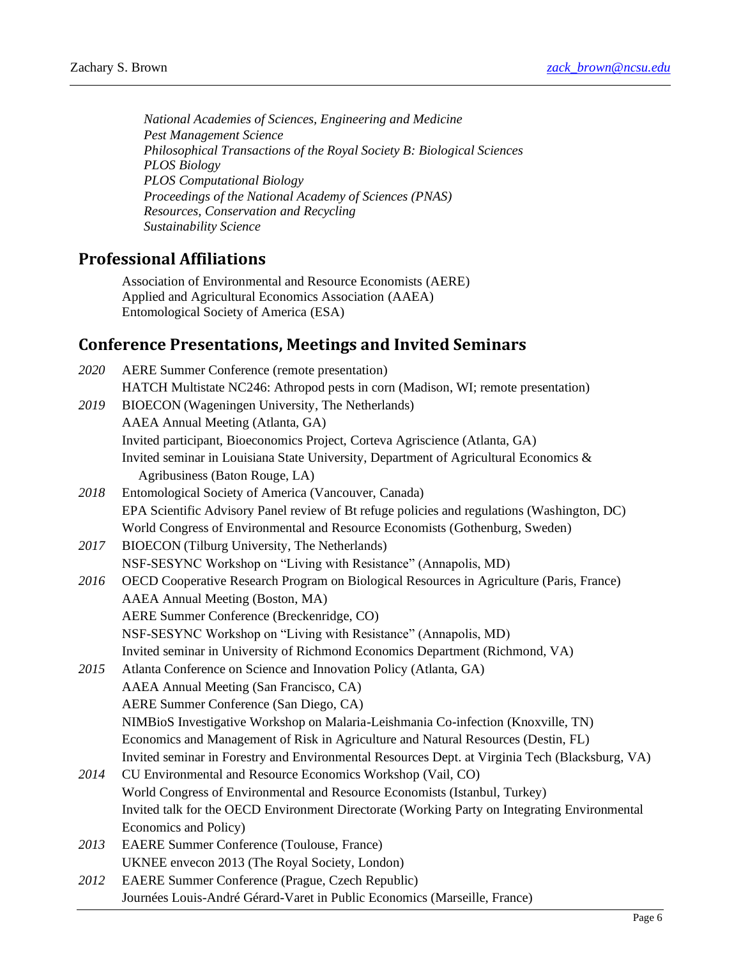*National Academies of Sciences, Engineering and Medicine Pest Management Science Philosophical Transactions of the Royal Society B: Biological Sciences PLOS Biology PLOS Computational Biology Proceedings of the National Academy of Sciences (PNAS) Resources, Conservation and Recycling Sustainability Science*

### **Professional Affiliations**

Association of Environmental and Resource Economists (AERE) Applied and Agricultural Economics Association (AAEA) Entomological Society of America (ESA)

## **Conference Presentations, Meetings and Invited Seminars**

| 2020 | <b>AERE Summer Conference (remote presentation)</b>                                             |
|------|-------------------------------------------------------------------------------------------------|
|      | HATCH Multistate NC246: Athropod pests in corn (Madison, WI; remote presentation)               |
| 2019 | BIOECON (Wageningen University, The Netherlands)                                                |
|      | AAEA Annual Meeting (Atlanta, GA)                                                               |
|      | Invited participant, Bioeconomics Project, Corteva Agriscience (Atlanta, GA)                    |
|      | Invited seminar in Louisiana State University, Department of Agricultural Economics &           |
|      | Agribusiness (Baton Rouge, LA)                                                                  |
| 2018 | Entomological Society of America (Vancouver, Canada)                                            |
|      | EPA Scientific Advisory Panel review of Bt refuge policies and regulations (Washington, DC)     |
|      | World Congress of Environmental and Resource Economists (Gothenburg, Sweden)                    |
| 2017 | <b>BIOECON</b> (Tilburg University, The Netherlands)                                            |
|      | NSF-SESYNC Workshop on "Living with Resistance" (Annapolis, MD)                                 |
| 2016 | OECD Cooperative Research Program on Biological Resources in Agriculture (Paris, France)        |
|      | AAEA Annual Meeting (Boston, MA)                                                                |
|      | AERE Summer Conference (Breckenridge, CO)                                                       |
|      | NSF-SESYNC Workshop on "Living with Resistance" (Annapolis, MD)                                 |
|      | Invited seminar in University of Richmond Economics Department (Richmond, VA)                   |
| 2015 | Atlanta Conference on Science and Innovation Policy (Atlanta, GA)                               |
|      | AAEA Annual Meeting (San Francisco, CA)                                                         |
|      | AERE Summer Conference (San Diego, CA)                                                          |
|      | NIMBioS Investigative Workshop on Malaria-Leishmania Co-infection (Knoxville, TN)               |
|      | Economics and Management of Risk in Agriculture and Natural Resources (Destin, FL)              |
|      | Invited seminar in Forestry and Environmental Resources Dept. at Virginia Tech (Blacksburg, VA) |
| 2014 | CU Environmental and Resource Economics Workshop (Vail, CO)                                     |
|      | World Congress of Environmental and Resource Economists (Istanbul, Turkey)                      |
|      | Invited talk for the OECD Environment Directorate (Working Party on Integrating Environmental   |
|      | Economics and Policy)                                                                           |
| 2013 | <b>EAERE Summer Conference (Toulouse, France)</b>                                               |
|      | UKNEE envecon 2013 (The Royal Society, London)                                                  |
| 2012 | EAERE Summer Conference (Prague, Czech Republic)                                                |
|      | Journées Louis-André Gérard-Varet in Public Economics (Marseille, France)                       |